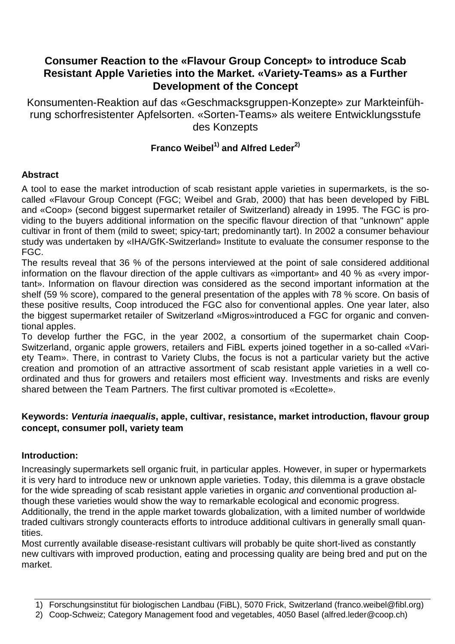## **Consumer Reaction to the «Flavour Group Concept» to introduce Scab Resistant Apple Varieties into the Market. «Variety-Teams» as a Further Development of the Concept**

Konsumenten-Reaktion auf das «Geschmacksgruppen-Konzepte» zur Markteinführung schorfresistenter Apfelsorten. «Sorten-Teams» als weitere Entwicklungsstufe des Konzepts

# **Franco Weibel1) and Alfred Leder2)**

## **Abstract**

A tool to ease the market introduction of scab resistant apple varieties in supermarkets, is the socalled «Flavour Group Concept (FGC; Weibel and Grab, 2000) that has been developed by FiBL and «Coop» (second biggest supermarket retailer of Switzerland) already in 1995. The FGC is providing to the buyers additional information on the specific flavour direction of that "unknown" apple cultivar in front of them (mild to sweet; spicy-tart; predominantly tart). In 2002 a consumer behaviour study was undertaken by «IHA/GfK-Switzerland» Institute to evaluate the consumer response to the FGC.

The results reveal that 36 % of the persons interviewed at the point of sale considered additional information on the flavour direction of the apple cultivars as «important» and 40 % as «very important». Information on flavour direction was considered as the second important information at the shelf (59 % score), compared to the general presentation of the apples with 78 % score. On basis of these positive results, Coop introduced the FGC also for conventional apples. One year later, also the biggest supermarket retailer of Switzerland «Migros»introduced a FGC for organic and conventional apples.

To develop further the FGC, in the year 2002, a consortium of the supermarket chain Coop-Switzerland, organic apple growers, retailers and FiBL experts joined together in a so-called «Variety Team». There, in contrast to Variety Clubs, the focus is not a particular variety but the active creation and promotion of an attractive assortment of scab resistant apple varieties in a well coordinated and thus for growers and retailers most efficient way. Investments and risks are evenly shared between the Team Partners. The first cultivar promoted is «Ecolette».

#### **Keywords: Venturia inaequalis, apple, cultivar, resistance, market introduction, flavour group concept, consumer poll, variety team**

## **Introduction:**

Increasingly supermarkets sell organic fruit, in particular apples. However, in super or hypermarkets it is very hard to introduce new or unknown apple varieties. Today, this dilemma is a grave obstacle for the wide spreading of scab resistant apple varieties in organic and conventional production although these varieties would show the way to remarkable ecological and economic progress. Additionally, the trend in the apple market towards globalization, with a limited number of worldwide traded cultivars strongly counteracts efforts to introduce additional cultivars in generally small quantities.

Most currently available disease-resistant cultivars will probably be quite short-lived as constantly new cultivars with improved production, eating and processing quality are being bred and put on the market.

2) Coop-Schweiz; Category Management food and vegetables, 4050 Basel (alfred.leder@coop.ch)

<sup>1)</sup> Forschungsinstitut für biologischen Landbau (FiBL), 5070 Frick, Switzerland (franco.weibel@fibl.org)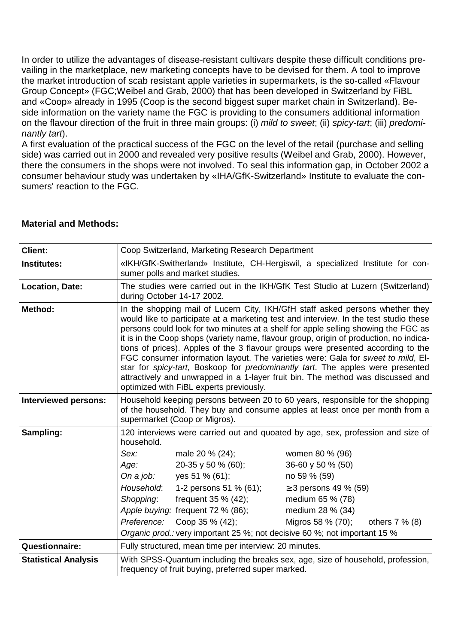In order to utilize the advantages of disease-resistant cultivars despite these difficult conditions prevailing in the marketplace, new marketing concepts have to be devised for them. A tool to improve the market introduction of scab resistant apple varieties in supermarkets, is the so-called «Flavour Group Concept» (FGC;Weibel and Grab, 2000) that has been developed in Switzerland by FiBL and «Coop» already in 1995 (Coop is the second biggest super market chain in Switzerland). Beside information on the variety name the FGC is providing to the consumers additional information on the flavour direction of the fruit in three main groups: (i) mild to sweet; (ii) spicy-tart; (iii) predominantly tart).

A first evaluation of the practical success of the FGC on the level of the retail (purchase and selling side) was carried out in 2000 and revealed very positive results (Weibel and Grab, 2000). However, there the consumers in the shops were not involved. To seal this information gap, in October 2002 a consumer behaviour study was undertaken by «IHA/GfK-Switzerland» Institute to evaluate the consumers' reaction to the FGC.

| <b>Client:</b>              | Coop Switzerland, Marketing Research Department                                                                                                                                                                                                                                                                                                                                                                                                                                                                                                                                                                                                                                                                                                |                                   |                                       |  |  |  |
|-----------------------------|------------------------------------------------------------------------------------------------------------------------------------------------------------------------------------------------------------------------------------------------------------------------------------------------------------------------------------------------------------------------------------------------------------------------------------------------------------------------------------------------------------------------------------------------------------------------------------------------------------------------------------------------------------------------------------------------------------------------------------------------|-----------------------------------|---------------------------------------|--|--|--|
| <b>Institutes:</b>          | «IKH/GfK-Switherland» Institute, CH-Hergiswil, a specialized Institute for con-<br>sumer polls and market studies.                                                                                                                                                                                                                                                                                                                                                                                                                                                                                                                                                                                                                             |                                   |                                       |  |  |  |
| <b>Location, Date:</b>      | The studies were carried out in the IKH/GfK Test Studio at Luzern (Switzerland)<br>during October 14-17 2002.                                                                                                                                                                                                                                                                                                                                                                                                                                                                                                                                                                                                                                  |                                   |                                       |  |  |  |
| Method:                     | In the shopping mail of Lucern City, IKH/GfH staff asked persons whether they<br>would like to participate at a marketing test and interview. In the test studio these<br>persons could look for two minutes at a shelf for apple selling showing the FGC as<br>it is in the Coop shops (variety name, flavour group, origin of production, no indica-<br>tions of prices). Apples of the 3 flavour groups were presented according to the<br>FGC consumer information layout. The varieties were: Gala for sweet to mild, EI-<br>star for spicy-tart, Boskoop for predominantly tart. The apples were presented<br>attractively and unwrapped in a 1-layer fruit bin. The method was discussed and<br>optimized with FiBL experts previously. |                                   |                                       |  |  |  |
| <b>Interviewed persons:</b> | Household keeping persons between 20 to 60 years, responsible for the shopping<br>of the household. They buy and consume apples at least once per month from a<br>supermarket (Coop or Migros).                                                                                                                                                                                                                                                                                                                                                                                                                                                                                                                                                |                                   |                                       |  |  |  |
| Sampling:                   | 120 interviews were carried out and quoated by age, sex, profession and size of<br>household.                                                                                                                                                                                                                                                                                                                                                                                                                                                                                                                                                                                                                                                  |                                   |                                       |  |  |  |
|                             | Sex:                                                                                                                                                                                                                                                                                                                                                                                                                                                                                                                                                                                                                                                                                                                                           | male 20 % (24);                   | women 80 % (96)                       |  |  |  |
|                             | Age:                                                                                                                                                                                                                                                                                                                                                                                                                                                                                                                                                                                                                                                                                                                                           | 20-35 y 50 % (60);                | 36-60 y 50 % (50)                     |  |  |  |
|                             | On a job:                                                                                                                                                                                                                                                                                                                                                                                                                                                                                                                                                                                                                                                                                                                                      | yes 51 % (61);                    | no 59 % (59)                          |  |  |  |
|                             | Household:                                                                                                                                                                                                                                                                                                                                                                                                                                                                                                                                                                                                                                                                                                                                     | 1-2 persons 51 % (61);            | ≥ 3 persons 49 % (59)                 |  |  |  |
|                             | Shopping:                                                                                                                                                                                                                                                                                                                                                                                                                                                                                                                                                                                                                                                                                                                                      | frequent 35 % (42);               | medium 65 % (78)                      |  |  |  |
|                             |                                                                                                                                                                                                                                                                                                                                                                                                                                                                                                                                                                                                                                                                                                                                                | Apple buying: frequent 72 % (86); | medium 28 % (34)                      |  |  |  |
|                             | Preference:                                                                                                                                                                                                                                                                                                                                                                                                                                                                                                                                                                                                                                                                                                                                    | Coop 35 % (42);                   | Migros 58 % (70);<br>others $7\%$ (8) |  |  |  |
|                             | Organic prod.: very important 25 %; not decisive 60 %; not important 15 %                                                                                                                                                                                                                                                                                                                                                                                                                                                                                                                                                                                                                                                                      |                                   |                                       |  |  |  |
| <b>Questionnaire:</b>       | Fully structured, mean time per interview: 20 minutes.                                                                                                                                                                                                                                                                                                                                                                                                                                                                                                                                                                                                                                                                                         |                                   |                                       |  |  |  |
| <b>Statistical Analysis</b> | With SPSS-Quantum including the breaks sex, age, size of household, profession,<br>frequency of fruit buying, preferred super marked.                                                                                                                                                                                                                                                                                                                                                                                                                                                                                                                                                                                                          |                                   |                                       |  |  |  |

#### **Material and Methods:**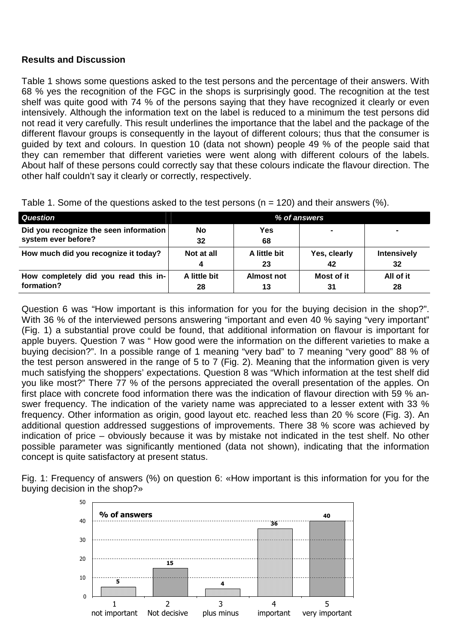#### **Results and Discussion**

Table 1 shows some questions asked to the test persons and the percentage of their answers. With 68 % yes the recognition of the FGC in the shops is surprisingly good. The recognition at the test shelf was quite good with 74 % of the persons saying that they have recognized it clearly or even intensively. Although the information text on the label is reduced to a minimum the test persons did not read it very carefully. This result underlines the importance that the label and the package of the different flavour groups is consequently in the layout of different colours; thus that the consumer is guided by text and colours. In question 10 (data not shown) people 49 % of the people said that they can remember that different varieties were went along with different colours of the labels. About half of these persons could correctly say that these colours indicate the flavour direction. The other half couldn't say it clearly or correctly, respectively.

| Question                                                      | % of answers |              |              |                    |
|---------------------------------------------------------------|--------------|--------------|--------------|--------------------|
| Did you recognize the seen information<br>system ever before? | No<br>32     | Yes<br>68    |              |                    |
| How much did you recognize it today?                          | Not at all   | A little bit | Yes, clearly | <b>Intensively</b> |
|                                                               | -4           | 23           | 42           | 32                 |
| How completely did you read this in-                          | A little bit | Almost not   | Most of it   | All of it          |
| formation?                                                    | 28           | 13           | 31           | 28                 |

Table 1. Some of the questions asked to the test persons ( $n = 120$ ) and their answers (%).

Question 6 was "How important is this information for you for the buying decision in the shop?". With 36 % of the interviewed persons answering "important and even 40 % saying "very important" (Fig. 1) a substantial prove could be found, that additional information on flavour is important for apple buyers. Question 7 was " How good were the information on the different varieties to make a buying decision?". In a possible range of 1 meaning "very bad" to 7 meaning "very good" 88 % of the test person answered in the range of 5 to 7 (Fig. 2). Meaning that the information given is very much satisfying the shoppers' expectations. Question 8 was "Which information at the test shelf did you like most?" There 77 % of the persons appreciated the overall presentation of the apples. On first place with concrete food information there was the indication of flavour direction with 59 % answer frequency. The indication of the variety name was appreciated to a lesser extent with 33 % frequency. Other information as origin, good layout etc. reached less than 20 % score (Fig. 3). An additional question addressed suggestions of improvements. There 38 % score was achieved by indication of price – obviously because it was by mistake not indicated in the test shelf. No other possible parameter was significantly mentioned (data not shown), indicating that the information concept is quite satisfactory at present status.

Fig. 1: Frequency of answers (%) on question 6: «How important is this information for you for the buying decision in the shop?»

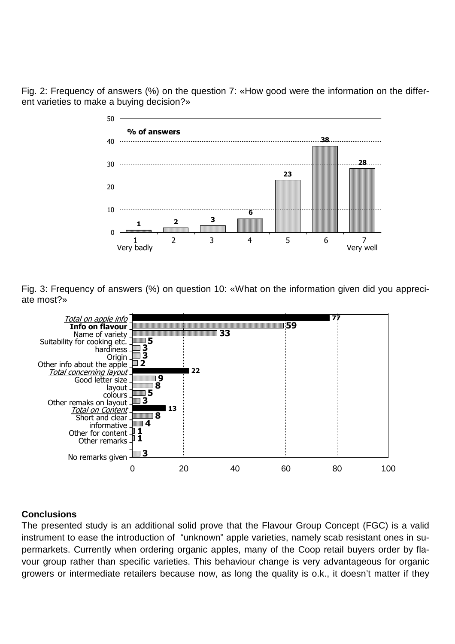Fig. 2: Frequency of answers (%) on the question 7: «How good were the information on the different varieties to make a buying decision?»



Fig. 3: Frequency of answers (%) on question 10: «What on the information given did you appreciate most?»



## **Conclusions**

The presented study is an additional solid prove that the Flavour Group Concept (FGC) is a valid instrument to ease the introduction of "unknown" apple varieties, namely scab resistant ones in supermarkets. Currently when ordering organic apples, many of the Coop retail buyers order by flavour group rather than specific varieties. This behaviour change is very advantageous for organic growers or intermediate retailers because now, as long the quality is o.k., it doesn't matter if they